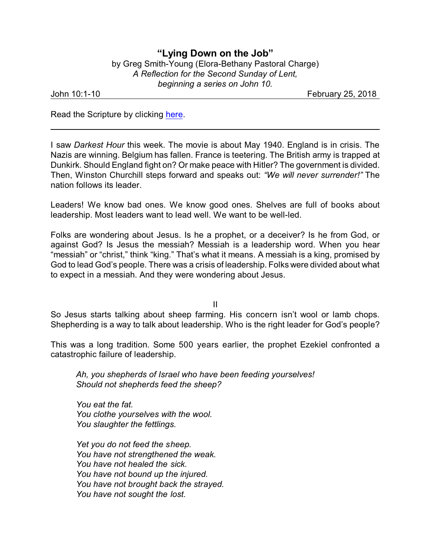## **"Lying Down on the Job"** by Greg Smith-Young (Elora-Bethany Pastoral Charge) *A Reflection for the Second Sunday of Lent, beginning a series on John 10.*

John 10:1-10 February 25, 2018

Read the Scripture by clicking [here](https://www.biblegateway.com/passage/?search=John+10%3A1-10&version=NRSVA).

I saw *Darkest Hour* this week. The movie is about May 1940. England is in crisis. The Nazis are winning. Belgium has fallen. France is teetering. The British army is trapped at Dunkirk. Should England fight on? Or make peace with Hitler? The government is divided. Then, Winston Churchill steps forward and speaks out: *"We will never surrender!"* The nation follows its leader.

Leaders! We know bad ones. We know good ones. Shelves are full of books about leadership. Most leaders want to lead well. We want to be well-led.

Folks are wondering about Jesus. Is he a prophet, or a deceiver? Is he from God, or against God? Is Jesus the messiah? Messiah is a leadership word. When you hear "messiah" or "christ," think "king." That's what it means. A messiah is a king, promised by God to lead God's people. There was a crisis of leadership. Folks were divided about what to expect in a messiah. And they were wondering about Jesus.

II

So Jesus starts talking about sheep farming. His concern isn't wool or lamb chops. Shepherding is a way to talk about leadership. Who is the right leader for God's people?

This was a long tradition. Some 500 years earlier, the prophet Ezekiel confronted a catastrophic failure of leadership.

*Ah, you shepherds of Israel who have been feeding yourselves! Should not shepherds feed the sheep?* 

*You eat the fat. You clothe yourselves with the wool. You slaughter the fettlings.*

*Yet you do not feed the sheep. You have not strengthened the weak. You have not healed the sick. You have not bound up the injured. You have not brought back the strayed. You have not sought the lost.*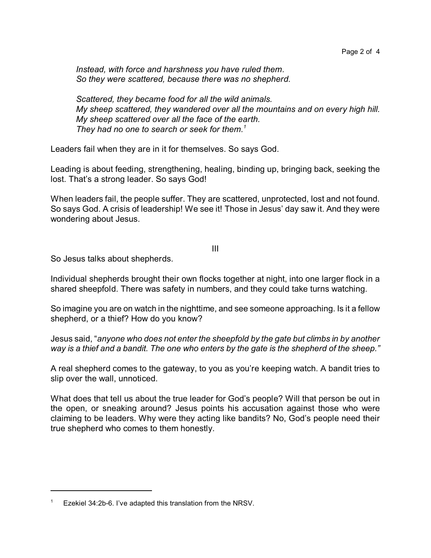*Instead, with force and harshness you have ruled them. So they were scattered, because there was no shepherd.*

*Scattered, they became food for all the wild animals. My sheep scattered, they wandered over all the mountains and on every high hill. My sheep scattered over all the face of the earth. They had no one to search or seek for them. 1*

Leaders fail when they are in it for themselves. So says God.

Leading is about feeding, strengthening, healing, binding up, bringing back, seeking the lost. That's a strong leader. So says God!

When leaders fail, the people suffer. They are scattered, unprotected, lost and not found. So says God. A crisis of leadership! We see it! Those in Jesus' day saw it. And they were wondering about Jesus.

III

So Jesus talks about shepherds.

Individual shepherds brought their own flocks together at night, into one larger flock in a shared sheepfold. There was safety in numbers, and they could take turns watching.

So imagine you are on watch in the nighttime, and see someone approaching. Is it a fellow shepherd, or a thief? How do you know?

Jesus said, "*anyone who does not enter the sheepfold by the gate but climbs in by another way is a thief and a bandit. The one who enters by the gate is the shepherd of the sheep."*

A real shepherd comes to the gateway, to you as you're keeping watch. A bandit tries to slip over the wall, unnoticed.

What does that tell us about the true leader for God's people? Will that person be out in the open, or sneaking around? Jesus points his accusation against those who were claiming to be leaders. Why were they acting like bandits? No, God's people need their true shepherd who comes to them honestly.

Ezekiel 34:2b-6. I've adapted this translation from the NRSV.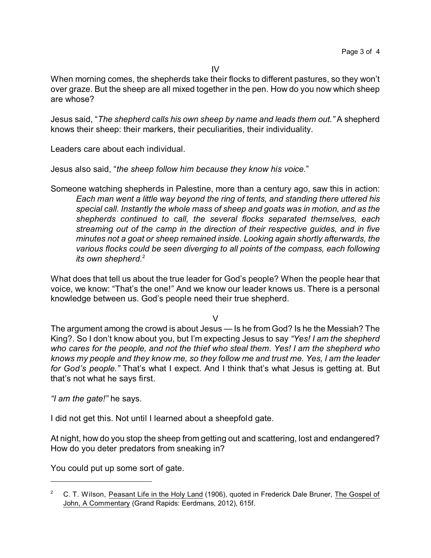When morning comes, the shepherds take their flocks to different pastures, so they won't over graze. But the sheep are all mixed together in the pen. How do you now which sheep are whose?

Jesus said, "*The shepherd calls his own sheep by name and leads them out."* A shepherd knows their sheep: their markers, their peculiarities, their individuality.

Leaders care about each individual.

Jesus also said, "*the sheep follow him because they know his voice.*"

Someone watching shepherds in Palestine, more than a century ago, saw this in action: *Each man went a little way beyond the ring of tents, and standing there uttered his special call. Instantly the whole mass of sheep and goats was in motion, and as the shepherds continued to call, the several flocks separated themselves, each streaming out of the camp in the direction of their respective guides, and in five minutes not a goat or sheep remained inside. Looking again shortly afterwards, the various flocks could be seen diverging to all points of the compass, each following its own shepherd.*<sup>2</sup>

What does that tell us about the true leader for God's people? When the people hear that voice, we know: "That's the one!" And we know our leader knows us. There is a personal knowledge between us. God's people need their true shepherd.

V

The argument among the crowd is about Jesus — Is he from God? Is he the Messiah? The King?. So I don't know about you, but I'm expecting Jesus to say *"Yes! I am the shepherd who cares for the people, and not the thief who steal them. Yes! I am the shepherd who knows my people and they know me, so they follow me and trust me. Yes, I am the leader for God's people."* That's what I expect. And I think that's what Jesus is getting at. But that's not what he says first.

*"I am the gate!"* he says.

I did not get this. Not until I learned about a sheepfold gate.

At night, how do you stop the sheep from getting out and scattering, lost and endangered? How do you deter predators from sneaking in?

You could put up some sort of gate.

<sup>&</sup>lt;sup>2</sup> C. T. Wilson, Peasant Life in the Holy Land (1906), quoted in Frederick Dale Bruner, The Gospel of John, A Commentary (Grand Rapids: Eerdmans, 2012), 615f.